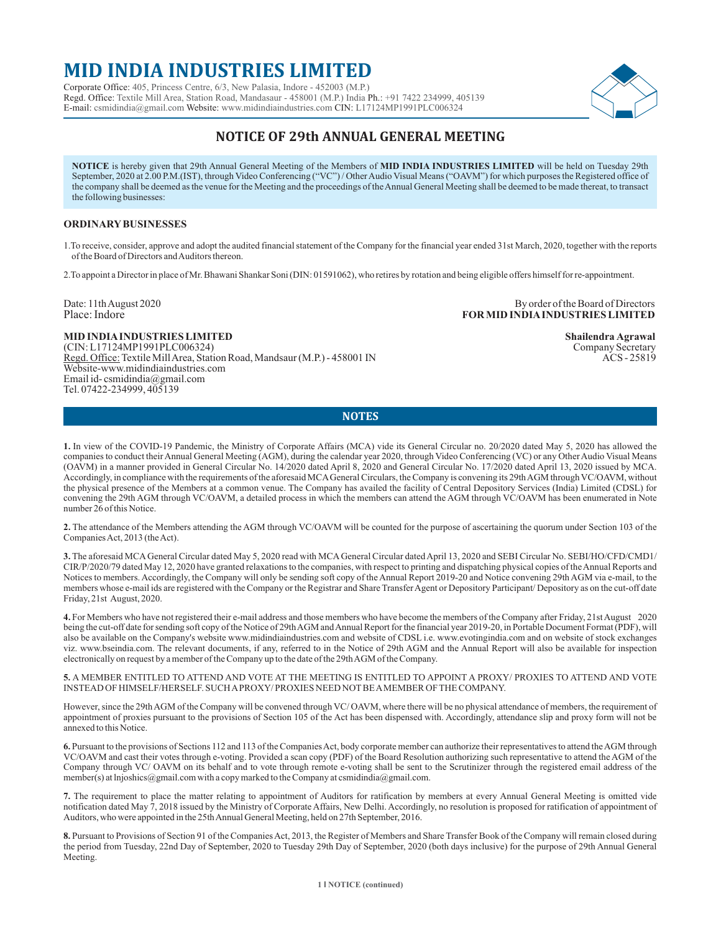# **MID INDIA INDUSTRIES LIMITED**

Corporate Office: 405, Princess Centre, 6/3, New Palasia, Indore - 452003 (M.P.) Regd. Office: Textile Mill Area, Station Road, Mandasaur - 458001 (M.P.) India Ph.: +91 7422 234999, 405139 E-mail: csmidindia@gmail.com Website: www.midindiaindustries.com CIN: L17124MP1991PLC006324



# **NOTICE OF 29th ANNUAL GENERAL MEETING**

**NOTICE** is hereby given that 29th Annual General Meeting of the Members of **MID INDIA INDUSTRIES LIMITED** will be held on Tuesday 29th September, 2020 at 2.00 P.M.(IST), through Video Conferencing ("VC") / Other Audio Visual Means ("OAVM") for which purposes the Registered office of the company shall be deemed as the venue for the Meeting and the proceedings of the Annual General Meeting shall be deemed to be made thereat, to transact the following businesses:

### **ORDINARYBUSINESSES**

1.To receive, consider, approve and adopt the audited financial statement of the Company for the financial year ended 31st March, 2020, together with the reports of the Board of Directors and Auditors thereon.

2.To appoint a Director in place of Mr. Bhawani Shankar Soni (DIN: 01591062), who retires by rotation and being eligible offers himself for re-appointment.

Date: 11th August 2020 By order of the Board of Directors Place: Indore **FOR MID INDIAINDUSTRIES LIMITED**

**MID INDIA INDUSTRIES LIMITED** Shailendra Agrawal **Shailendra Agrawal** COIN: L17124MP1991PLC006324) Company Secretary (CIN: L17124MP1991PLC006324) Company Secretary<br>Regd. Office: Textile Mill Area, Station Road, Mandsaur (M.P.) - 458001 IN COMPANY ROS - 25819 Regd. Office: Textile Mill Area, Station Road, Mandsaur (M.P.) - 458001 IN Website-www.midindiaindustries.com Email id- csmidindia@gmail.com Tel. 07422-234999, 405139

# **NOTES**

**1.** In view of the COVID-19 Pandemic, the Ministry of Corporate Affairs (MCA) vide its General Circular no. 20/2020 dated May 5, 2020 has allowed the companies to conduct their Annual General Meeting (AGM), during the calendar year 2020, through Video Conferencing (VC) or any Other Audio Visual Means (OAVM) in a manner provided in General Circular No. 14/2020 dated April 8, 2020 and General Circular No. 17/2020 dated April 13, 2020 issued by MCA. Accordingly, in compliance with the requirements of the aforesaid MCAGeneral Circulars, the Company is convening its 29th AGM through VC/OAVM, without the physical presence of the Members at a common venue. The Company has availed the facility of Central Depository Services (India) Limited (CDSL) for convening the 29th AGM through VC/OAVM, a detailed process in which the members can attend the AGM through VC/OAVM has been enumerated in Note number 26 of this Notice.

**2.** The attendance of the Members attending the AGM through VC/OAVM will be counted for the purpose of ascertaining the quorum under Section 103 of the Companies Act, 2013 (the Act).

**3.** The aforesaid MCAGeneral Circular dated May 5, 2020 read with MCAGeneral Circular dated April 13, 2020 and SEBI Circular No. SEBI/HO/CFD/CMD1/ CIR/P/2020/79 dated May 12, 2020 have granted relaxations to the companies, with respect to printing and dispatching physical copies of the Annual Reports and Notices to members. Accordingly, the Company will only be sending soft copy of the Annual Report 2019-20 and Notice convening 29th AGM via e-mail, to the members whose e-mail ids are registered with the Company or the Registrar and Share Transfer Agent or Depository Participant/ Depository as on the cut-off date Friday, 21st August, 2020.

**4.** For Members who have not registered their e-mail address and those members who have become the members of the Company after Friday, 21st August 2020 being the cut-off date for sending soft copy of the Notice of 29th AGM and Annual Report for the financial year 2019-20, in Portable Document Format (PDF), will also be available on the Company's website www.midindiaindustries.com and website of CDSL i.e. www.evotingindia.com and on website of stock exchanges viz. www.bseindia.com. The relevant documents, if any, referred to in the Notice of 29th AGM and the Annual Report will also be available for inspection electronically on request by a member of the Company up to the date of the 29th AGM of the Company.

**5.** A MEMBER ENTITLED TO ATTEND AND VOTE AT THE MEETING IS ENTITLED TO APPOINT A PROXY/ PROXIES TO ATTEND AND VOTE INSTEAD OF HIMSELF/HERSELF. SUCH APROXY/ PROXIES NEED NOTBE AMEMBER OF THE COMPANY.

However, since the 29th AGM of the Company will be convened through VC/OAVM, where there will be no physical attendance of members, the requirement of appointment of proxies pursuant to the provisions of Section 105 of the Act has been dispensed with. Accordingly, attendance slip and proxy form will not be annexed to this Notice.

**6.** Pursuant to the provisions of Sections 112 and 113 of the Companies Act, body corporate member can authorize their representatives to attend the AGM through VC/OAVM and cast their votes through e-voting. Provided a scan copy (PDF) of the Board Resolution authorizing such representative to attend the AGM of the Company through VC/ OAVM on its behalf and to vote through remote e-voting shall be sent to the Scrutinizer through the registered email address of the member(s) at lnjoshics@gmail.com with a copy marked to the Company at csmidindia@gmail.com.

**7.** The requirement to place the matter relating to appointment of Auditors for ratification by members at every Annual General Meeting is omitted vide notification dated May 7, 2018 issued by the Ministry of Corporate Affairs, New Delhi. Accordingly, no resolution is proposed for ratification of appointment of Auditors, who were appointed in the 25th Annual General Meeting, held on 27th September, 2016.

**8.** Pursuant to Provisions of Section 91 of the Companies Act, 2013, the Register of Members and Share Transfer Book of the Company will remain closed during the period from Tuesday, 22nd Day of September, 2020 to Tuesday 29th Day of September, 2020 (both days inclusive) for the purpose of 29th Annual General Meeting.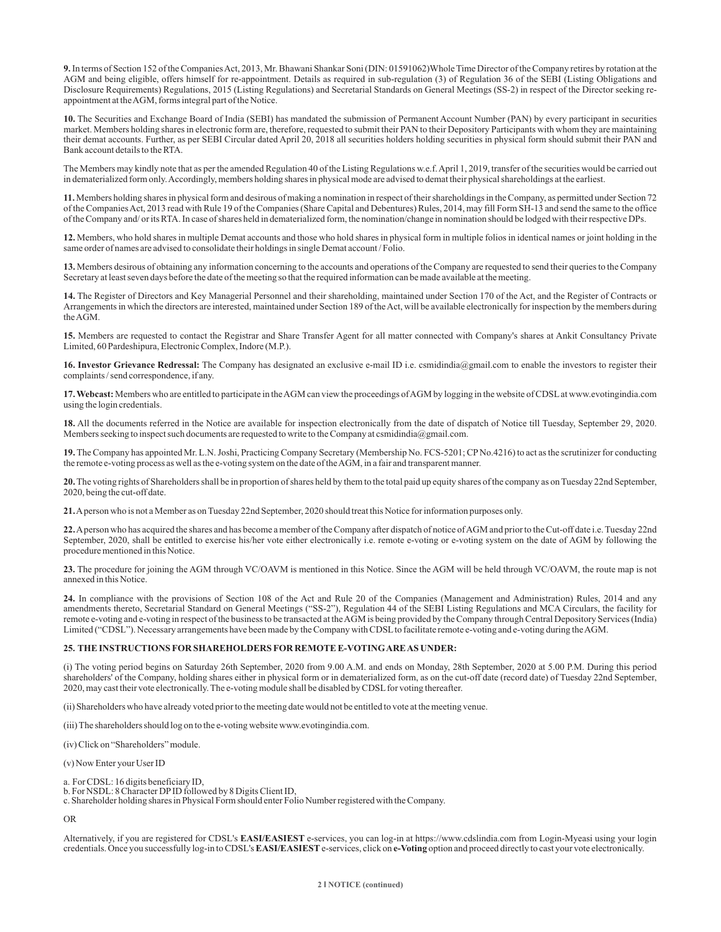**9.**In terms of Section 152 of the Companies Act, 2013, Mr. Bhawani Shankar Soni (DIN: 01591062)Whole Time Director of the Company retires by rotation at the AGM and being eligible, offers himself for re-appointment. Details as required in sub-regulation (3) of Regulation 36 of the SEBI (Listing Obligations and Disclosure Requirements) Regulations, 2015 (Listing Regulations) and Secretarial Standards on General Meetings (SS-2) in respect of the Director seeking reappointment at the AGM, forms integral part of the Notice.

**10.** The Securities and Exchange Board of India (SEBI) has mandated the submission of Permanent Account Number (PAN) by every participant in securities market. Members holding shares in electronic form are, therefore, requested to submit their PAN to their Depository Participants with whom they are maintaining their demat accounts. Further, as per SEBI Circular dated April 20, 2018 all securities holders holding securities in physical form should submit their PAN and Bank account details to the RTA.

The Members may kindly note that as per the amended Regulation 40 of the Listing Regulations w.e.f. April 1, 2019, transfer of the securities would be carried out in dematerialized form only. Accordingly, members holding shares in physical mode are advised to demat their physical shareholdings at the earliest.

**11.** Members holding shares in physical form and desirous of making a nomination in respect of their shareholdings in the Company, as permitted under Section 72 of the Companies Act, 2013 read with Rule 19 of the Companies (Share Capital and Debentures) Rules, 2014, may fill Form SH-13 and send the same to the office of the Company and/ or its RTA. In case of shares held in dematerialized form, the nomination/change in nomination should be lodged with their respective DPs.

**12.** Members, who hold shares in multiple Demat accounts and those who hold shares in physical form in multiple folios in identical names or joint holding in the same order of names are advised to consolidate their holdings in single Demat account / Folio.

**13.** Members desirous of obtaining any information concerning to the accounts and operations of the Company are requested to send their queries to the Company Secretary at least seven days before the date of the meeting so that the required information can be made available at the meeting.

**14.** The Register of Directors and Key Managerial Personnel and their shareholding, maintained under Section 170 of the Act, and the Register of Contracts or Arrangements in which the directors are interested, maintained under Section 189 of the Act, will be available electronically for inspection by the members during the AGM.

**15.** Members are requested to contact the Registrar and Share Transfer Agent for all matter connected with Company's shares at Ankit Consultancy Private Limited, 60 Pardeshipura, Electronic Complex, Indore (M.P.).

**16. Investor Grievance Redressal:** The Company has designated an exclusive e-mail ID i.e. csmidindia@gmail.com to enable the investors to register their complaints / send correspondence, if any.

**17. Webcast:** Members who are entitled to participate in the AGM can view the proceedings of AGM by logging in the website of CDSLat www.evotingindia.com using the login credentials.

**18.** All the documents referred in the Notice are available for inspection electronically from the date of dispatch of Notice till Tuesday, September 29, 2020. Members seeking to inspect such documents are requested to write to the Company at csmidindia@gmail.com.

**19.**The Company has appointed Mr. L.N. Joshi, Practicing Company Secretary (Membership No. FCS-5201; CPNo.4216) to act as the scrutinizer for conducting the remote e-voting process as well as the e-voting system on the date of the AGM, in a fair and transparent manner.

**20.**The voting rights of Shareholders shall be in proportion of shares held by them to the total paid up equity shares of the company as on Tuesday 22nd September, 2020, being the cut-off date.

**21.**Aperson who is not a Member as on Tuesday 22nd September, 2020 should treat this Notice for information purposes only.

**22.**Aperson who has acquired the shares and has become a member of the Company after dispatch of notice of AGM and prior to the Cut-off date i.e. Tuesday 22nd September, 2020, shall be entitled to exercise his/her vote either electronically i.e. remote e-voting or e-voting system on the date of AGM by following the procedure mentioned in this Notice.

**23.** The procedure for joining the AGM through VC/OAVM is mentioned in this Notice. Since the AGM will be held through VC/OAVM, the route map is not annexed in this Notice.

**24.** In compliance with the provisions of Section 108 of the Act and Rule 20 of the Companies (Management and Administration) Rules, 2014 and any amendments thereto, Secretarial Standard on General Meetings ("SS-2"), Regulation 44 of the SEBI Listing Regulations and MCA Circulars, the facility for remote e-voting and e-voting in respect of the business to be transacted at the AGM is being provided by the Company through Central Depository Services (India) Limited ("CDSL"). Necessary arrangements have been made by the Company with CDSLto facilitate remote e-voting and e-voting during the AGM.

#### **25. THE INSTRUCTIONS FOR SHAREHOLDERS FOR REMOTE E-VOTING ARE AS UNDER:**

(i) The voting period begins on Saturday 26th September, 2020 from 9.00 A.M. and ends on Monday, 28th September, 2020 at 5.00 P.M. During this period shareholders' of the Company, holding shares either in physical form or in dematerialized form, as on the cut-off date (record date) of Tuesday 22nd September, 2020, may cast their vote electronically. The e-voting module shall be disabled by CDSLfor voting thereafter.

(ii) Shareholders who have already voted prior to the meeting date would not be entitled to vote at the meeting venue.

(iii) The shareholders should log on to the e-voting website www.evotingindia.com.

(iv) Click on "Shareholders" module.

(v) Now Enter your User ID

- a. For CDSL: 16 digits beneficiary ID,
- b. For NSDL: 8 Character DPID followed by 8 Digits Client ID,

c. Shareholder holding shares in Physical Form should enter Folio Number registered with the Company.

OR

Alternatively, if you are registered for CDSL's **EASI/EASIEST** e-services, you can log-in at https://www.cdslindia.com from Login-Myeasi using your login credentials. Once you successfully log-in to CDSL's **EASI/EASIEST**e-services, click on **e-Voting** option and proceed directly to cast your vote electronically.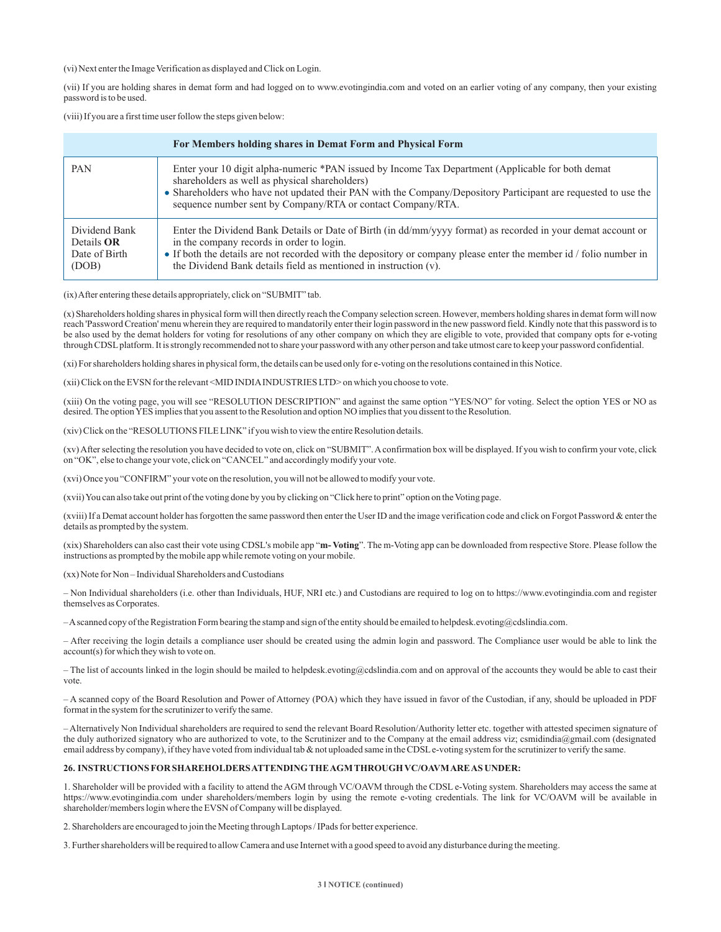(vi) Next enter the Image Verification as displayed and Click on Login.

(vii) If you are holding shares in demat form and had logged on to www.evotingindia.com and voted on an earlier voting of any company, then your existing password is to be used.

(viii) If you are a first time user follow the steps given below:

| For Members holding shares in Demat Form and Physical Form   |                                                                                                                                                                                                                                                                                                                                                     |  |
|--------------------------------------------------------------|-----------------------------------------------------------------------------------------------------------------------------------------------------------------------------------------------------------------------------------------------------------------------------------------------------------------------------------------------------|--|
| <b>PAN</b>                                                   | Enter your 10 digit alpha-numeric *PAN issued by Income Tax Department (Applicable for both demat<br>shareholders as well as physical shareholders)<br>• Shareholders who have not updated their PAN with the Company/Depository Participant are requested to use the<br>sequence number sent by Company/RTA or contact Company/RTA.                |  |
| Dividend Bank<br>Details <b>OR</b><br>Date of Birth<br>(DOB) | Enter the Dividend Bank Details or Date of Birth (in dd/mm/yyyy format) as recorded in your demat account or<br>in the company records in order to login.<br>• If both the details are not recorded with the depository or company please enter the member id / folio number in<br>the Dividend Bank details field as mentioned in instruction (v). |  |

(ix) After entering these details appropriately, click on "SUBMIT" tab.

(x) Shareholders holding shares in physical form will then directly reach the Company selection screen. However, members holding shares in demat form will now reach 'Password Creation' menu wherein they are required to mandatorily enter their login password in the new password field. Kindly note that this password is to be also used by the demat holders for voting for resolutions of any other company on which they are eligible to vote, provided that company opts for e-voting through CDSLplatform. It is strongly recommended not to share your password with any other person and take utmost care to keep your password confidential.

(xi) For shareholders holding shares in physical form, the details can be used only for e-voting on the resolutions contained in this Notice.

(xii) Click on the EVSN for the relevant <MID INDIAINDUSTRIES LTD> on which you choose to vote.

(xiii) On the voting page, you will see "RESOLUTION DESCRIPTION" and against the same option "YES/NO" for voting. Select the option YES or NO as desired. The option YES implies that you assent to the Resolution and option NO implies that you dissent to the Resolution.

(xiv) Click on the "RESOLUTIONS FILE LINK" if you wish to view the entire Resolution details.

(xv) After selecting the resolution you have decided to vote on, click on "SUBMIT". Aconfirmation box will be displayed. If you wish to confirm your vote, click on "OK", else to change your vote, click on "CANCEL" and accordingly modify your vote.

(xvi) Once you "CONFIRM" your vote on the resolution, you will not be allowed to modify your vote.

(xvii) You can also take out print of the voting done by you by clicking on "Click here to print" option on the Voting page.

(xviii) If a Demat account holder has forgotten the same password then enter the User ID and the image verification code and click on Forgot Password & enter the details as prompted by the system.

(xix) Shareholders can also cast their vote using CDSL's mobile app "**m- Voting**". The m-Voting app can be downloaded from respective Store. Please follow the instructions as prompted by the mobile app while remote voting on your mobile.

(xx) Note for Non – Individual Shareholders and Custodians

– Non Individual shareholders (i.e. other than Individuals, HUF, NRI etc.) and Custodians are required to log on to https://www.evotingindia.com and register themselves as Corporates.

– Ascanned copy of the Registration Form bearing the stamp and sign of the entity should be emailed to helpdesk.evoting@cdslindia.com.

– After receiving the login details a compliance user should be created using the admin login and password. The Compliance user would be able to link the account(s) for which they wish to vote on.

– The list of accounts linked in the login should be mailed to helpdesk.evoting@cdslindia.com and on approval of the accounts they would be able to cast their vote.

– A scanned copy of the Board Resolution and Power of Attorney (POA) which they have issued in favor of the Custodian, if any, should be uploaded in PDF format in the system for the scrutinizer to verify the same.

– Alternatively Non Individual shareholders are required to send the relevant Board Resolution/Authority letter etc. together with attested specimen signature of the duly authorized signatory who are authorized to vote, to the Scrutinizer and to the Company at the email address viz; csmidindia@gmail.com (designated email address by company), if they have voted from individual tab & not uploaded same in the CDSLe-voting system for the scrutinizer to verify the same.

#### **26. INSTRUCTIONS FOR SHAREHOLDERS ATTENDING THE AGM THROUGH VC/OAVM ARE AS UNDER:**

1. Shareholder will be provided with a facility to attend the AGM through VC/OAVM through the CDSL e-Voting system. Shareholders may access the same at https://www.evotingindia.com under shareholders/members login by using the remote e-voting credentials. The link for VC/OAVM will be available in shareholder/members login where the EVSN of Company will be displayed.

2. Shareholders are encouraged to join the Meeting through Laptops / IPads for better experience.

3. Further shareholders will be required to allow Camera and use Internet with a good speed to avoid any disturbance during the meeting.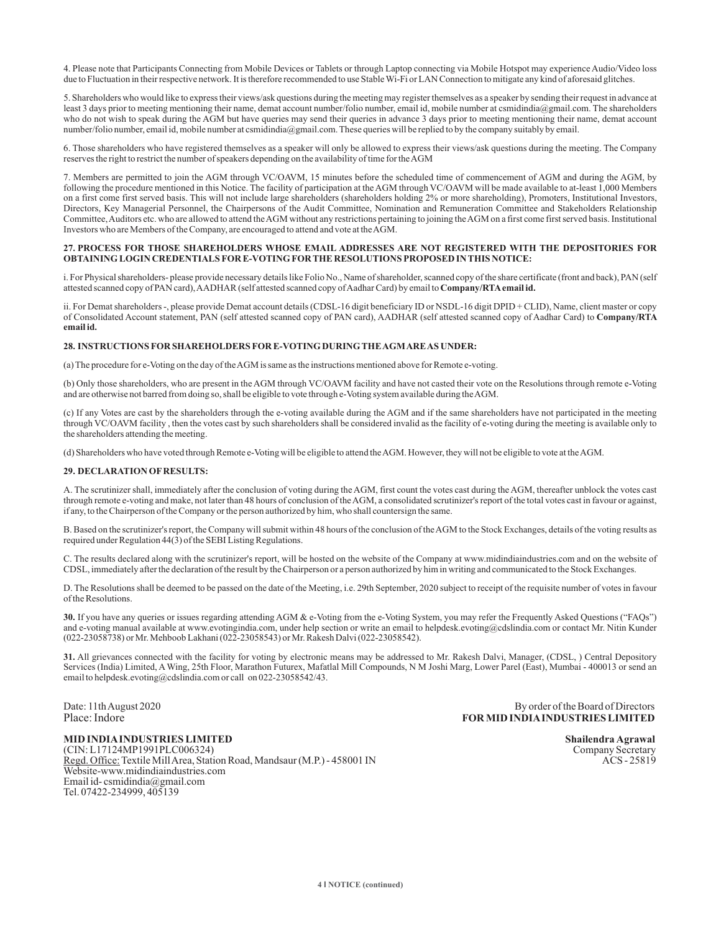4. Please note that Participants Connecting from Mobile Devices or Tablets or through Laptop connecting via Mobile Hotspot may experience Audio/Video loss due to Fluctuation in their respective network. It is therefore recommended to use Stable Wi-Fi or LAN Connection to mitigate any kind of aforesaid glitches.

5. Shareholders who would like to express their views/ask questions during the meeting may register themselves as a speaker by sending their request in advance at least 3 days prior to meeting mentioning their name, demat account number/folio number, email id, mobile number at csmidindia@gmail.com. The shareholders who do not wish to speak during the AGM but have queries may send their queries in advance 3 days prior to meeting mentioning their name, demat account number/folio number, email id, mobile number at csmidindia@gmail.com. These queries will be replied to by the company suitably by email.

6. Those shareholders who have registered themselves as a speaker will only be allowed to express their views/ask questions during the meeting. The Company reserves the right to restrict the number of speakers depending on the availability of time for the AGM

7. Members are permitted to join the AGM through VC/OAVM, 15 minutes before the scheduled time of commencement of AGM and during the AGM, by following the procedure mentioned in this Notice. The facility of participation at the AGM through VC/OAVM will be made available to at-least 1,000 Members on a first come first served basis. This will not include large shareholders (shareholders holding 2% or more shareholding), Promoters, Institutional Investors, Directors, Key Managerial Personnel, the Chairpersons of the Audit Committee, Nomination and Remuneration Committee and Stakeholders Relationship Committee, Auditors etc. who are allowed to attend the AGM without any restrictions pertaining to joining the AGM on a first come first served basis. Institutional Investors who are Members of the Company, are encouraged to attend and vote at the AGM.

#### **27. PROCESS FOR THOSE SHAREHOLDERS WHOSE EMAIL ADDRESSES ARE NOT REGISTERED WITH THE DEPOSITORIES FOR OBTAINING LOGIN CREDENTIALS FOR E-VOTING FOR THE RESOLUTIONS PROPOSED IN THIS NOTICE:**

i. For Physical shareholders- please provide necessary details like Folio No., Name of shareholder, scanned copy of the share certificate (front and back), PAN (self attested scanned copy of PAN card), AADHAR (self attested scanned copy of Aadhar Card) by email to **Company/RTAemail id.**

ii. For Demat shareholders -, please provide Demat account details (CDSL-16 digit beneficiary ID or NSDL-16 digit DPID + CLID), Name, client master or copy of Consolidated Account statement, PAN (self attested scanned copy of PAN card), AADHAR (self attested scanned copy of Aadhar Card) to **Company/RTA email id.**

#### **28. INSTRUCTIONS FOR SHAREHOLDERS FOR E-VOTING DURING THE AGM ARE AS UNDER:**

(a) The procedure for e-Voting on the day of the AGM is same as the instructions mentioned above for Remote e-voting.

(b) Only those shareholders, who are present in the AGM through VC/OAVM facility and have not casted their vote on the Resolutions through remote e-Voting and are otherwise not barred from doing so, shall be eligible to vote through e-Voting system available during the AGM.

(c) If any Votes are cast by the shareholders through the e-voting available during the AGM and if the same shareholders have not participated in the meeting through VC/OAVM facility , then the votes cast by such shareholders shall be considered invalid as the facility of e-voting during the meeting is available only to the shareholders attending the meeting.

(d) Shareholders who have voted through Remote e-Voting will be eligible to attend the AGM. However, they will not be eligible to vote at the AGM.

#### **29. DECLARATION OFRESULTS:**

A. The scrutinizer shall, immediately after the conclusion of voting during the AGM, first count the votes cast during the AGM, thereafter unblock the votes cast through remote e-voting and make, not later than 48 hours of conclusion of the AGM, a consolidated scrutinizer's report of the total votes cast in favour or against, if any, to the Chairperson of the Company or the person authorized by him, who shall countersign the same.

B. Based on the scrutinizer's report, the Company will submit within 48 hours of the conclusion of the AGM to the Stock Exchanges, details of the voting results as required under Regulation 44(3) of the SEBI Listing Regulations.

C. The results declared along with the scrutinizer's report, will be hosted on the website of the Company at www.midindiaindustries.com and on the website of CDSL, immediately after the declaration of the result by the Chairperson or a person authorized by him in writing and communicated to the Stock Exchanges.

D. Th e Resolutions shall be deemed to be passed on the date of the Meeting, i.e. 29th September, 2020 subject to receipt of the requisite number of votes in favour of the Resolutions.

**30.** If you have any queries or issues regarding attending AGM & e-Voting from the e-Voting System, you may refer the Frequently Asked Questions ("FAQs") and e-voting manual available at www.evotingindia.com, under help section or write an email to helpdesk.evoting@cdslindia.com or contact Mr. Nitin Kunder (022-23058738) or Mr. Mehboob Lakhani (022-23058543) or Mr. Rakesh Dalvi (022-23058542).

**31.** All grievances connected with the facility for voting by electronic means may be addressed to Mr. Rakesh Dalvi, Manager, (CDSL, ) Central Depository Services (India) Limited, AWing, 25th Floor, Marathon Futurex, Mafatlal Mill Compounds, N M Joshi Marg, Lower Parel (East), Mumbai - 400013 or send an email to helpdesk.evoting@cdslindia.com or call on 022-23058542/43.

Date: 11th August 2020<br>
Place: 11th August 2020<br>
Place: 11th August 2020<br>
Port and the Board of Directors<br>
Place: 11th August 2020<br>
Port and the Board of Directors<br>
Port and the Board of Directors<br>
Port and the Board of Di Place: Indore **FOR MID INDIAINDUSTRIES LIMITED**

**MID INDIA INDUSTRIES LIMITED** Shailendra Agrawal Shailendra Agrawal Shailendra Agrawal Company Secretary (CIN: L17124MP1991PLC006324) (CIN: L17124MP1991PLC006324) Company Secretary<br>Regd. Office: Textile Mill Area. Station Road. Mandsaur (M.P.) - 458001 IN COMPANY ACS - 25819 Regd. Office: Textile Mill Area, Station Road, Mandsaur (M.P.) - 458001 IN Website-www.midindiaindustries.com Email id- csmidindia@gmail.com Tel. 07422-234999, 405139